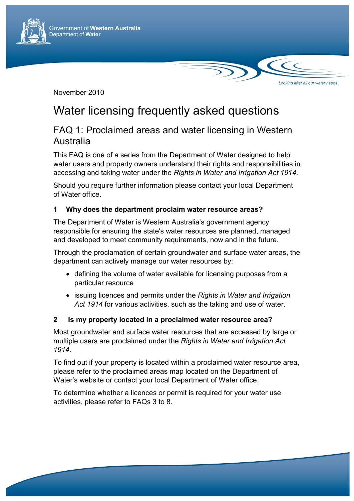

November 2010

# Water licensing frequently asked questions

# FAQ 1: Proclaimed areas and water licensing in Western Australia

Looking after all our water needs

This FAQ is one of a series from the Department of Water designed to help water users and property owners understand their rights and responsibilities in accessing and taking water under the *Rights in Water and Irrigation Act 1914*.

Should you require further information please contact your local Department of Water office.

# **1 Why does the department proclaim water resource areas?**

The Department of Water is Western Australia's government agency responsible for ensuring the state's water resources are planned, managed and developed to meet community requirements, now and in the future.

Through the proclamation of certain groundwater and surface water areas, the department can actively manage our water resources by:

- defining the volume of water available for licensing purposes from a particular resource
- issuing licences and permits under the *Rights in Water and Irrigation Act 1914* for various activities, such as the taking and use of water.

## **2 Is my property located in a proclaimed water resource area?**

Most groundwater and surface water resources that are accessed by large or multiple users are proclaimed under the *Rights in Water and Irrigation Act 1914*.

To find out if your property is located within a proclaimed water resource area, please refer to the proclaimed areas map located on the Department of Water's website or contact your local Department of Water office.

To determine whether a licences or permit is required for your water use activities, please refer to FAQs 3 to 8.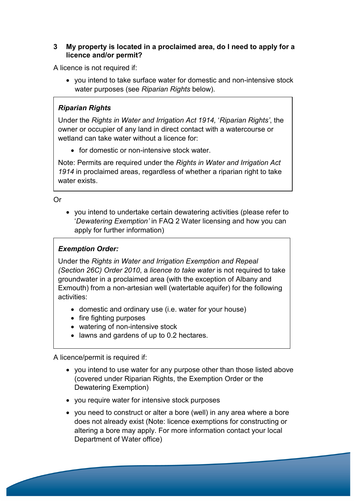#### **3 My property is located in a proclaimed area, do I need to apply for a licence and/or permit?**

A licence is not required if:

• you intend to take surface water for domestic and non-intensive stock water purposes (see *Riparian Rights* below).

# *Riparian Rights*

Under the *Rights in Water and Irrigation Act 1914,* '*Riparian Rights'*, the owner or occupier of any land in direct contact with a watercourse or wetland can take water without a licence for:

• for domestic or non-intensive stock water.

Note: Permits are required under the *Rights in Water and Irrigation Act 1914* in proclaimed areas, regardless of whether a riparian right to take water exists.

Or

• you intend to undertake certain dewatering activities (please refer to '*Dewatering Exemption'* in FAQ 2 Water licensing and how you can apply for further information)

# *Exemption Order:*

Under the *Rights in Water and Irrigation Exemption and Repeal (Section 26C) Order 2010*, a *licence to take water* is not required to take groundwater in a proclaimed area (with the exception of Albany and Exmouth) from a non-artesian well (watertable aquifer) for the following activities:

- domestic and ordinary use (i.e. water for your house)
- fire fighting purposes
- watering of non-intensive stock
- lawns and gardens of up to 0.2 hectares.

A licence/permit is required if:

- you intend to use water for any purpose other than those listed above (covered under Riparian Rights, the Exemption Order or the Dewatering Exemption)
- you require water for intensive stock purposes
- you need to construct or alter a bore (well) in any area where a bore does not already exist (Note: licence exemptions for constructing or altering a bore may apply. For more information contact your local Department of Water office)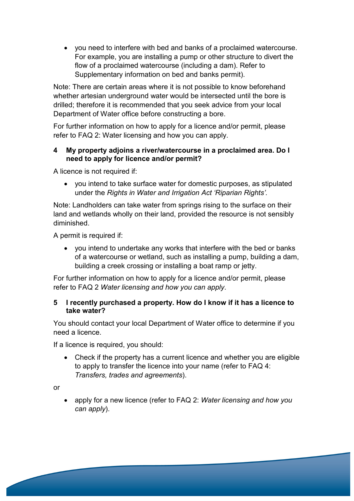• you need to interfere with bed and banks of a proclaimed watercourse. For example, you are installing a pump or other structure to divert the flow of a proclaimed watercourse (including a dam). Refer to Supplementary information on bed and banks permit).

Note: There are certain areas where it is not possible to know beforehand whether artesian underground water would be intersected until the bore is drilled; therefore it is recommended that you seek advice from your local Department of Water office before constructing a bore.

For further information on how to apply for a licence and/or permit, please refer to FAQ 2: Water licensing and how you can apply.

#### **4 My property adjoins a river/watercourse in a proclaimed area. Do I need to apply for licence and/or permit?**

A licence is not required if:

• you intend to take surface water for domestic purposes, as stipulated under the *Rights in Water and Irrigation Act 'Riparian Rights'.*

Note: Landholders can take water from springs rising to the surface on their land and wetlands wholly on their land, provided the resource is not sensibly diminished.

A permit is required if:

• you intend to undertake any works that interfere with the bed or banks of a watercourse or wetland, such as installing a pump, building a dam, building a creek crossing or installing a boat ramp or jetty.

For further information on how to apply for a licence and/or permit, please refer to FAQ 2 *Water licensing and how you can apply*.

#### **5 I recently purchased a property. How do I know if it has a licence to take water?**

You should contact your local Department of Water office to determine if you need a licence.

If a licence is required, you should:

• Check if the property has a current licence and whether you are eligible to apply to transfer the licence into your name (refer to FAQ 4: *Transfers, trades and agreements*).

or

• apply for a new licence (refer to FAQ 2: *Water licensing and how you can apply*).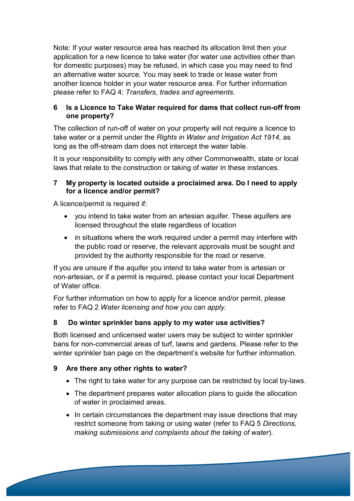Note: If your water resource area has reached its allocation limit then your application for a new licence to take water (for water use activities other than for domestic purposes) may be refused, in which case you may need to find an alternative water source. You may seek to trade or lease water from another licence holder in your water resource area. For further information please refer to FAQ 4: *Transfers, trades and agreements*.

#### **6 Is a Licence to Take Water required for dams that collect run-off from one property?**

The collection of run-off of water on your property will not require a licence to take water or a permit under the *Rights in Water and Irrigation Act 1914,* as long as the off-stream dam does not intercept the water table.

It is your responsibility to comply with any other Commonwealth, state or local laws that relate to the construction or taking of water in these instances.

#### **7 My property is located outside a proclaimed area. Do I need to apply for a licence and/or permit?**

A licence/permit is required if:

- you intend to take water from an artesian aquifer. These aquifers are licensed throughout the state regardless of location
- in situations where the work required under a permit may interfere with the public road or reserve, the relevant approvals must be sought and provided by the authority responsible for the road or reserve.

If you are unsure if the aquifer you intend to take water from is artesian or non-artesian, or if a permit is required, please contact your local Department of Water office.

For further information on how to apply for a licence and/or permit, please refer to FAQ 2 *Water licensing and how you can apply*.

## **8 Do winter sprinkler bans apply to my water use activities?**

Both licensed and unlicensed water users may be subject to winter sprinkler bans for non-commercial areas of turf, lawns and gardens. Please refer to the winter sprinkler ban page on the department's website for further information.

## **9 Are there any other rights to water?**

- The right to take water for any purpose can be restricted by local by-laws.
- The department prepares water allocation plans to guide the allocation of water in proclaimed areas.
- In certain circumstances the department may issue directions that may restrict someone from taking or using water (refer to FAQ 5 *Directions, making submissions and complaints about the taking of water*).